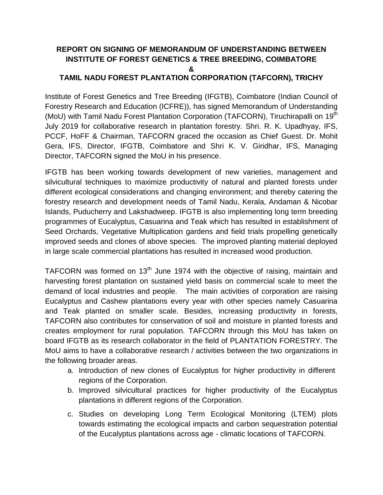## **REPORT ON SIGNING OF MEMORANDUM OF UNDERSTANDING BETWEEN INSTITUTE OF FOREST GENETICS & TREE BREEDING, COIMBATORE & TAMIL NADU FOREST PLANTATION CORPORATION (TAFCORN), TRICHY**

Institute of Forest Genetics and Tree Breeding (IFGTB), Coimbatore (Indian Council of Forestry Research and Education (ICFRE)), has signed Memorandum of Understanding (MoU) with Tamil Nadu Forest Plantation Corporation (TAFCORN), Tiruchirapalli on 19<sup>th</sup> July 2019 for collaborative research in plantation forestry. Shri. R. K. Upadhyay, IFS, PCCF, HoFF & Chairman, TAFCORN graced the occasion as Chief Guest. Dr. Mohit Gera, IFS, Director, IFGTB, Coimbatore and Shri K. V. Giridhar, IFS, Managing Director, TAFCORN signed the MoU in his presence.

IFGTB has been working towards development of new varieties, management and silvicultural techniques to maximize productivity of natural and planted forests under different ecological considerations and changing environment; and thereby catering the forestry research and development needs of Tamil Nadu, Kerala, Andaman & Nicobar Islands, Puducherry and Lakshadweep. IFGTB is also implementing long term breeding programmes of Eucalyptus, Casuarina and Teak which has resulted in establishment of Seed Orchards, Vegetative Multiplication gardens and field trials propelling genetically improved seeds and clones of above species. The improved planting material deployed in large scale commercial plantations has resulted in increased wood production.

TAFCORN was formed on 13<sup>th</sup> June 1974 with the objective of raising, maintain and harvesting forest plantation on sustained yield basis on commercial scale to meet the demand of local industries and people. The main activities of corporation are raising Eucalyptus and Cashew plantations every year with other species namely Casuarina and Teak planted on smaller scale. Besides, increasing productivity in forests, TAFCORN also contributes for conservation of soil and moisture in planted forests and creates employment for rural population. TAFCORN through this MoU has taken on board IFGTB as its research collaborator in the field of PLANTATION FORESTRY. The MoU aims to have a collaborative research / activities between the two organizations in the following broader areas.

- a. Introduction of new clones of Eucalyptus for higher productivity in different regions of the Corporation.
- b. Improved silvicultural practices for higher productivity of the Eucalyptus plantations in different regions of the Corporation.
- c. Studies on developing Long Term Ecological Monitoring (LTEM) plots towards estimating the ecological impacts and carbon sequestration potential of the Eucalyptus plantations across age - climatic locations of TAFCORN.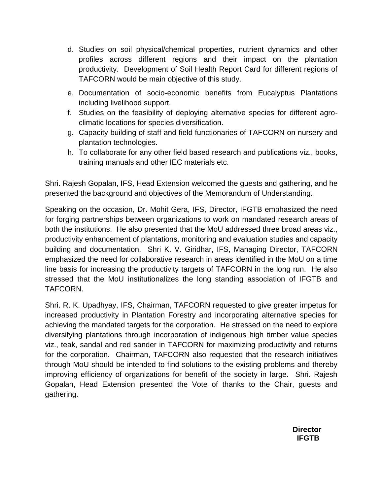- d. Studies on soil physical/chemical properties, nutrient dynamics and other profiles across different regions and their impact on the plantation productivity. Development of Soil Health Report Card for different regions of TAFCORN would be main objective of this study.
- e. Documentation of socio-economic benefits from Eucalyptus Plantations including livelihood support.
- f. Studies on the feasibility of deploying alternative species for different agroclimatic locations for species diversification.
- g. Capacity building of staff and field functionaries of TAFCORN on nursery and plantation technologies.
- h. To collaborate for any other field based research and publications viz., books, training manuals and other IEC materials etc.

Shri. Rajesh Gopalan, IFS, Head Extension welcomed the guests and gathering, and he presented the background and objectives of the Memorandum of Understanding.

Speaking on the occasion, Dr. Mohit Gera, IFS, Director, IFGTB emphasized the need for forging partnerships between organizations to work on mandated research areas of both the institutions. He also presented that the MoU addressed three broad areas viz., productivity enhancement of plantations, monitoring and evaluation studies and capacity building and documentation. Shri K. V. Giridhar, IFS, Managing Director, TAFCORN emphasized the need for collaborative research in areas identified in the MoU on a time line basis for increasing the productivity targets of TAFCORN in the long run. He also stressed that the MoU institutionalizes the long standing association of IFGTB and TAFCORN.

Shri. R. K. Upadhyay, IFS, Chairman, TAFCORN requested to give greater impetus for increased productivity in Plantation Forestry and incorporating alternative species for achieving the mandated targets for the corporation. He stressed on the need to explore diversifying plantations through incorporation of indigenous high timber value species viz., teak, sandal and red sander in TAFCORN for maximizing productivity and returns for the corporation. Chairman, TAFCORN also requested that the research initiatives through MoU should be intended to find solutions to the existing problems and thereby improving efficiency of organizations for benefit of the society in large. Shri. Rajesh Gopalan, Head Extension presented the Vote of thanks to the Chair, guests and gathering.

> **Director IFGTB**